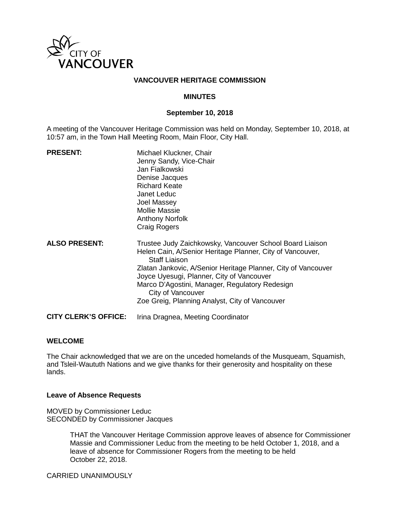

### **VANCOUVER HERITAGE COMMISSION**

### **MINUTES**

### **September 10, 2018**

A meeting of the Vancouver Heritage Commission was held on Monday, September 10, 2018, at 10:57 am, in the Town Hall Meeting Room, Main Floor, City Hall.

| <b>PRESENT:</b>             | Michael Kluckner, Chair<br>Jenny Sandy, Vice-Chair<br>Jan Fialkowski<br>Denise Jacques<br><b>Richard Keate</b><br>Janet Leduc<br>Joel Massey<br><b>Mollie Massie</b><br><b>Anthony Norfolk</b><br><b>Craig Rogers</b>                                                                                                                                                                |
|-----------------------------|--------------------------------------------------------------------------------------------------------------------------------------------------------------------------------------------------------------------------------------------------------------------------------------------------------------------------------------------------------------------------------------|
| <b>ALSO PRESENT:</b>        | Trustee Judy Zaichkowsky, Vancouver School Board Liaison<br>Helen Cain, A/Senior Heritage Planner, City of Vancouver,<br><b>Staff Liaison</b><br>Zlatan Jankovic, A/Senior Heritage Planner, City of Vancouver<br>Joyce Uyesugi, Planner, City of Vancouver<br>Marco D'Agostini, Manager, Regulatory Redesign<br>City of Vancouver<br>Zoe Greig, Planning Analyst, City of Vancouver |
| <b>CITY CLERK'S OFFICE:</b> | Irina Dragnea, Meeting Coordinator                                                                                                                                                                                                                                                                                                                                                   |

#### **WELCOME**

The Chair acknowledged that we are on the unceded homelands of the Musqueam, Squamish, and Tsleil-Waututh Nations and we give thanks for their generosity and hospitality on these lands.

### **Leave of Absence Requests**

MOVED by Commissioner Leduc SECONDED by Commissioner Jacques

> THAT the Vancouver Heritage Commission approve leaves of absence for Commissioner Massie and Commissioner Leduc from the meeting to be held October 1, 2018, and a leave of absence for Commissioner Rogers from the meeting to be held October 22, 2018.

CARRIED UNANIMOUSLY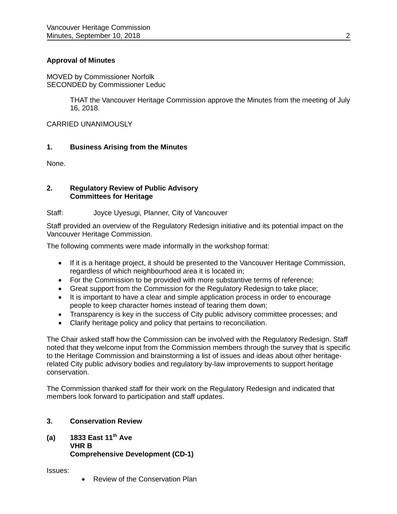# **Approval of Minutes**

MOVED by Commissioner Norfolk SECONDED by Commissioner Leduc

> THAT the Vancouver Heritage Commission approve the Minutes from the meeting of July 16, 2018.

CARRIED UNANIMOUSLY

# **1. Business Arising from the Minutes**

None.

### **2. Regulatory Review of Public Advisory Committees for Heritage**

### Staff: Joyce Uyesugi, Planner, City of Vancouver

Staff provided an overview of the Regulatory Redesign initiative and its potential impact on the Vancouver Heritage Commission.

The following comments were made informally in the workshop format:

- If it is a heritage project, it should be presented to the Vancouver Heritage Commission, regardless of which neighbourhood area it is located in;
- For the Commission to be provided with more substantive terms of reference;
- Great support from the Commission for the Regulatory Redesign to take place;
- It is important to have a clear and simple application process in order to encourage people to keep character homes instead of tearing them down;
- Transparency is key in the success of City public advisory committee processes; and
- Clarify heritage policy and policy that pertains to reconciliation.

The Chair asked staff how the Commission can be involved with the Regulatory Redesign. Staff noted that they welcome input from the Commission members through the survey that is specific to the Heritage Commission and brainstorming a list of issues and ideas about other heritagerelated City public advisory bodies and regulatory by-law improvements to support heritage conservation.

The Commission thanked staff for their work on the Regulatory Redesign and indicated that members look forward to participation and staff updates.

# **3. Conservation Review**

**(a) 1833 East 11th Ave VHR B Comprehensive Development (CD-1)**

Issues:

• Review of the Conservation Plan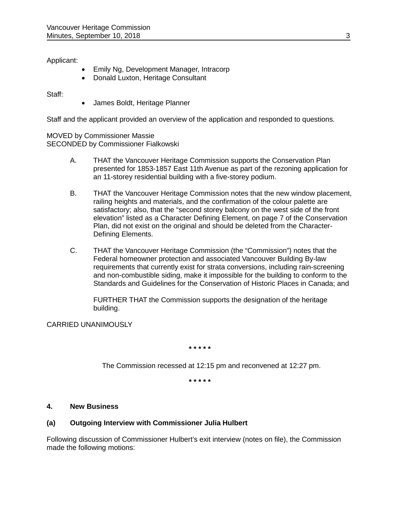Applicant:

- Emily Ng, Development Manager, Intracorp
- Donald Luxton, Heritage Consultant

Staff:

• James Boldt, Heritage Planner

Staff and the applicant provided an overview of the application and responded to questions.

MOVED by Commissioner Massie SECONDED by Commissioner Fialkowski

- A. THAT the Vancouver Heritage Commission supports the Conservation Plan presented for 1853-1857 East 11th Avenue as part of the rezoning application for an 11-storey residential building with a five-storey podium.
- B. THAT the Vancouver Heritage Commission notes that the new window placement, railing heights and materials, and the confirmation of the colour palette are satisfactory; also, that the "second storey balcony on the west side of the front elevation" listed as a Character Defining Element, on page 7 of the Conservation Plan, did not exist on the original and should be deleted from the Character-Defining Elements.
- C. THAT the Vancouver Heritage Commission (the "Commission") notes that the Federal homeowner protection and associated Vancouver Building By-law requirements that currently exist for strata conversions, including rain-screening and non-combustible siding, make it impossible for the building to conform to the Standards and Guidelines for the Conservation of Historic Places in Canada; and

FURTHER THAT the Commission supports the designation of the heritage building.

CARRIED UNANIMOUSLY

**\* \* \* \* \***

The Commission recessed at 12:15 pm and reconvened at 12:27 pm.

**\* \* \* \* \***

# **4. New Business**

# **(a) Outgoing Interview with Commissioner Julia Hulbert**

Following discussion of Commissioner Hulbert's exit interview (notes on file), the Commission made the following motions: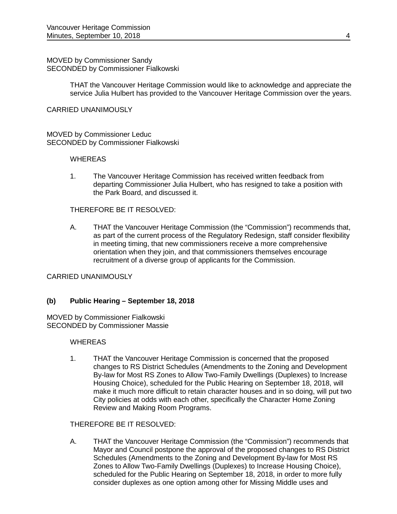MOVED by Commissioner Sandy SECONDED by Commissioner Fialkowski

> THAT the Vancouver Heritage Commission would like to acknowledge and appreciate the service Julia Hulbert has provided to the Vancouver Heritage Commission over the years.

#### CARRIED UNANIMOUSLY

MOVED by Commissioner Leduc SECONDED by Commissioner Fialkowski

#### **WHEREAS**

1. The Vancouver Heritage Commission has received written feedback from departing Commissioner Julia Hulbert, who has resigned to take a position with the Park Board, and discussed it.

### THEREFORE BE IT RESOLVED:

A. THAT the Vancouver Heritage Commission (the "Commission") recommends that, as part of the current process of the Regulatory Redesign, staff consider flexibility in meeting timing, that new commissioners receive a more comprehensive orientation when they join, and that commissioners themselves encourage recruitment of a diverse group of applicants for the Commission.

#### CARRIED UNANIMOUSLY

### **(b) Public Hearing – September 18, 2018**

MOVED by Commissioner Fialkowski SECONDED by Commissioner Massie

#### **WHEREAS**

1. THAT the Vancouver Heritage Commission is concerned that the proposed changes to RS District Schedules (Amendments to the Zoning and Development By-law for Most RS Zones to Allow Two-Family Dwellings (Duplexes) to Increase Housing Choice), scheduled for the Public Hearing on September 18, 2018, will make it much more difficult to retain character houses and in so doing, will put two City policies at odds with each other, specifically the Character Home Zoning Review and Making Room Programs.

### THEREFORE BE IT RESOLVED:

A. THAT the Vancouver Heritage Commission (the "Commission") recommends that Mayor and Council postpone the approval of the proposed changes to RS District Schedules (Amendments to the Zoning and Development By-law for Most RS Zones to Allow Two-Family Dwellings (Duplexes) to Increase Housing Choice), scheduled for the Public Hearing on September 18, 2018, in order to more fully consider duplexes as one option among other for Missing Middle uses and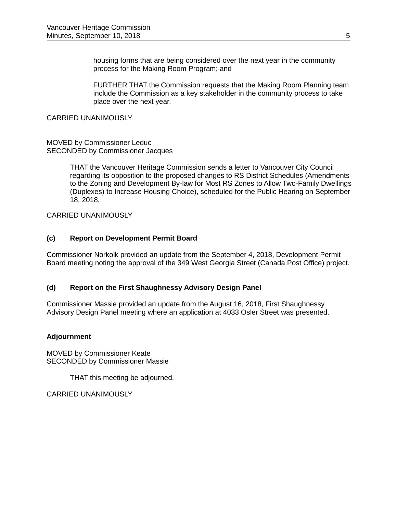housing forms that are being considered over the next year in the community process for the Making Room Program; and

FURTHER THAT the Commission requests that the Making Room Planning team include the Commission as a key stakeholder in the community process to take place over the next year.

### CARRIED UNANIMOUSLY

### MOVED by Commissioner Leduc SECONDED by Commissioner Jacques

THAT the Vancouver Heritage Commission sends a letter to Vancouver City Council regarding its opposition to the proposed changes to RS District Schedules (Amendments to the Zoning and Development By-law for Most RS Zones to Allow Two-Family Dwellings (Duplexes) to Increase Housing Choice), scheduled for the Public Hearing on September 18, 2018.

CARRIED UNANIMOUSLY

# **(c) Report on Development Permit Board**

Commissioner Norkolk provided an update from the September 4, 2018, Development Permit Board meeting noting the approval of the 349 West Georgia Street (Canada Post Office) project.

# **(d) Report on the First Shaughnessy Advisory Design Panel**

Commissioner Massie provided an update from the August 16, 2018, First Shaughnessy Advisory Design Panel meeting where an application at 4033 Osler Street was presented.

# **Adjournment**

MOVED by Commissioner Keate SECONDED by Commissioner Massie

THAT this meeting be adjourned.

CARRIED UNANIMOUSLY